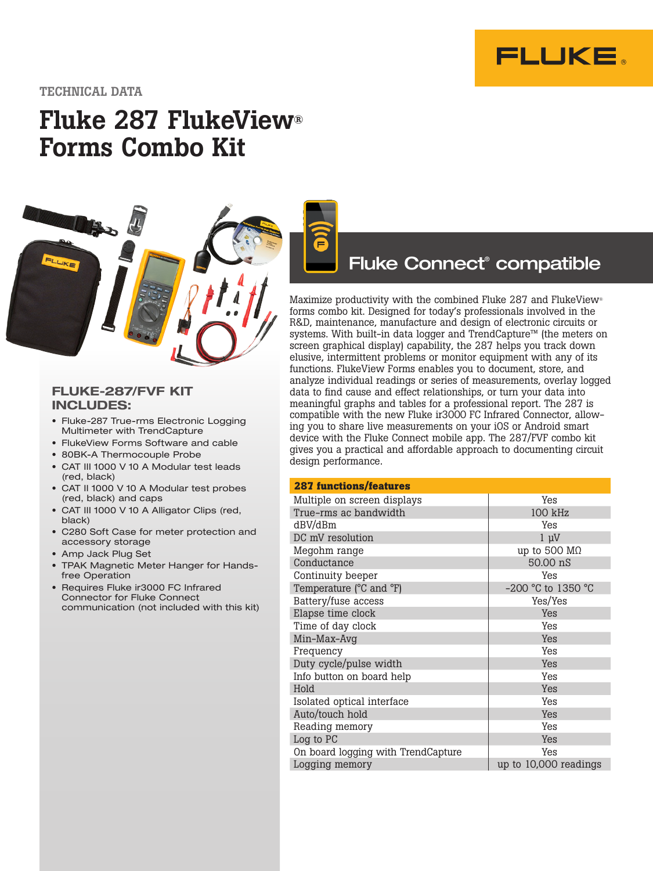

## TECHNICAL DATA

# Fluke 287 FlukeView® Forms Combo Kit



# FLUKE-287/FVF KIT INCLUDES:

- Fluke-287 True-rms Electronic Logging Multimeter with TrendCapture
- FlukeView Forms Software and cable
- 80BK-A Thermocouple Probe
- CAT III 1000 V 10 A Modular test leads (red, black)
- CAT II 1000 V 10 A Modular test probes (red, black) and caps
- CAT III 1000 V 10 A Alligator Clips (red, black)
- C280 Soft Case for meter protection and accessory storage
- Amp Jack Plug Set
- TPAK Magnetic Meter Hanger for Handsfree Operation
- Requires Fluke ir3000 FC Infrared Connector for Fluke Connect communication (not included with this kit)

# Fluke Connect® compatible

Maximize productivity with the combined Fluke 287 and FlukeView® forms combo kit. Designed for today's professionals involved in the R&D, maintenance, manufacture and design of electronic circuits or systems. With built-in data logger and TrendCapture™ (the meters on screen graphical display) capability, the 287 helps you track down elusive, intermittent problems or monitor equipment with any of its functions. FlukeView Forms enables you to document, store, and analyze individual readings or series of measurements, overlay logged data to find cause and effect relationships, or turn your data into meaningful graphs and tables for a professional report. The 287 is compatible with the new Fluke ir3000 FC Infrared Connector, allowing you to share live measurements on your iOS or Android smart device with the Fluke Connect mobile app. The 287/FVF combo kit gives you a practical and affordable approach to documenting circuit design performance.

| <b>287 functions/features</b>      |                       |  |
|------------------------------------|-----------------------|--|
| Multiple on screen displays        | Yes                   |  |
| True-rms ac bandwidth              | 100 kHz               |  |
| dBV/dBm                            | Yes                   |  |
| DC mV resolution                   | $1 \mu V$             |  |
| Megohm range                       | up to 500 $M\Omega$   |  |
| Conductance                        | 50.00 nS              |  |
| Continuity beeper                  | Yes                   |  |
| Temperature (°C and °F)            | -200 °C to 1350 °C    |  |
| Battery/fuse access                | Yes/Yes               |  |
| Elapse time clock                  | Yes                   |  |
| Time of day clock                  | Yes                   |  |
| Min-Max-Avg                        | Yes                   |  |
| Frequency                          | Yes                   |  |
| Duty cycle/pulse width             | Yes                   |  |
| Info button on board help          | Yes                   |  |
| Hold                               | Yes                   |  |
| Isolated optical interface         | Yes                   |  |
| Auto/touch hold                    | Yes                   |  |
| Reading memory                     | Yes                   |  |
| Log to PC                          | Yes                   |  |
| On board logging with TrendCapture | Yes                   |  |
| Logging memory                     | up to 10,000 readings |  |